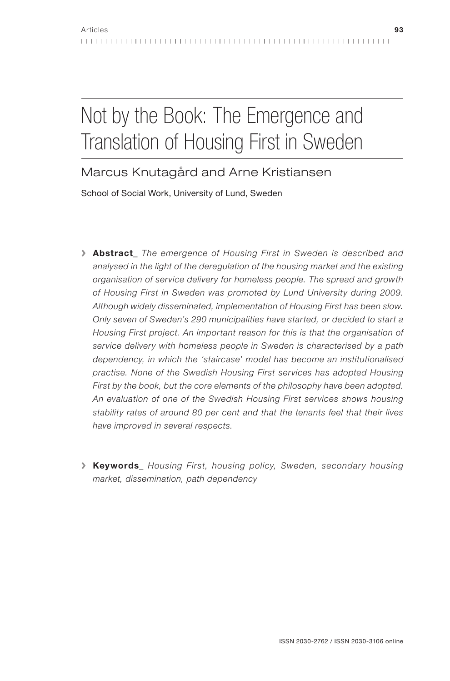# Not by the Book: The Emergence and Translation of Housing First in Sweden

Marcus Knutagård and Arne Kristiansen

School of Social Work, University of Lund, Sweden

- **>** Abstract\_ The emergence of Housing First in Sweden is described and analysed in the light of the deregulation of the housing market and the existing organisation of service delivery for homeless people. The spread and growth of Housing First in Sweden was promoted by Lund University during 2009. Although widely disseminated, implementation of Housing First has been slow. Only seven of Sweden's 290 municipalities have started, or decided to start a Housing First project. An important reason for this is that the organisation of service delivery with homeless people in Sweden is characterised by a path dependency, in which the 'staircase' model has become an institutionalised practise. None of the Swedish Housing First services has adopted Housing First by the book, but the core elements of the philosophy have been adopted. An evaluation of one of the Swedish Housing First services shows housing stability rates of around 80 per cent and that the tenants feel that their lives have improved in several respects.
- **>** Keywords\_ Housing First, housing policy, Sweden, secondary housing market, dissemination, path dependency

. . . . . . . . . . . . . . . . . . . .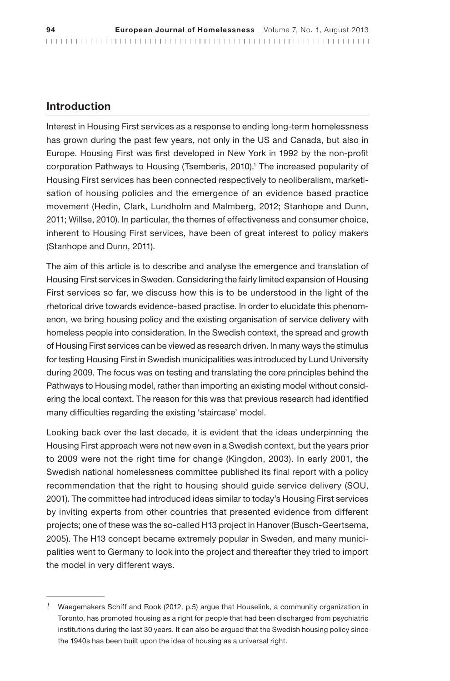#### Introduction

Interest in Housing First services as a response to ending long-term homelessness has grown during the past few years, not only in the US and Canada, but also in Europe. Housing First was first developed in New York in 1992 by the non-profit corporation Pathways to Housing (Tsemberis, 2010).<sup>1</sup> The increased popularity of Housing First services has been connected respectively to neoliberalism, marketisation of housing policies and the emergence of an evidence based practice movement (Hedin, Clark, Lundholm and Malmberg, 2012; Stanhope and Dunn, 2011; Willse, 2010). In particular, the themes of effectiveness and consumer choice, inherent to Housing First services, have been of great interest to policy makers (Stanhope and Dunn, 2011).

The aim of this article is to describe and analyse the emergence and translation of Housing First services in Sweden. Considering the fairly limited expansion of Housing First services so far, we discuss how this is to be understood in the light of the rhetorical drive towards evidence-based practise. In order to elucidate this phenomenon, we bring housing policy and the existing organisation of service delivery with homeless people into consideration. In the Swedish context, the spread and growth of Housing First services can be viewed as research driven. In many ways the stimulus for testing Housing First in Swedish municipalities was introduced by Lund University during 2009. The focus was on testing and translating the core principles behind the Pathways to Housing model, rather than importing an existing model without considering the local context. The reason for this was that previous research had identified many difficulties regarding the existing 'staircase' model.

Looking back over the last decade, it is evident that the ideas underpinning the Housing First approach were not new even in a Swedish context, but the years prior to 2009 were not the right time for change (Kingdon, 2003). In early 2001, the Swedish national homelessness committee published its final report with a policy recommendation that the right to housing should guide service delivery (SOU, 2001). The committee had introduced ideas similar to today's Housing First services by inviting experts from other countries that presented evidence from different projects; one of these was the so-called H13 project in Hanover (Busch-Geertsema, 2005). The H13 concept became extremely popular in Sweden, and many municipalities went to Germany to look into the project and thereafter they tried to import the model in very different ways.

 $1$  Waegemakers Schiff and Rook (2012, p.5) argue that Houselink, a community organization in Toronto, has promoted housing as a right for people that had been discharged from psychiatric institutions during the last 30 years. It can also be argued that the Swedish housing policy since the 1940s has been built upon the idea of housing as a universal right.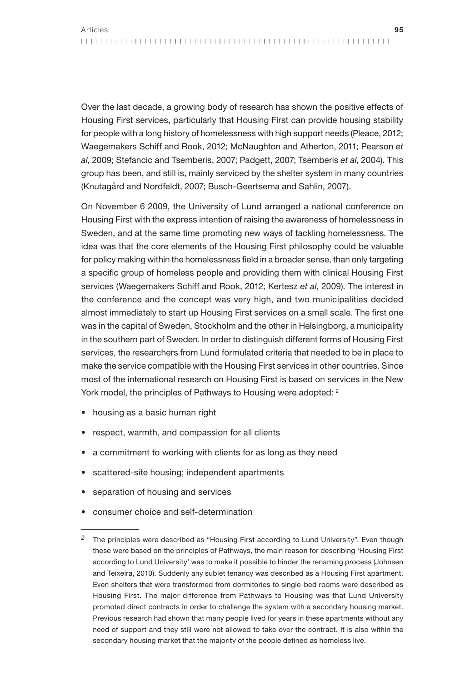Over the last decade, a growing body of research has shown the positive effects of Housing First services, particularly that Housing First can provide housing stability for people with a long history of homelessness with high support needs (Pleace, 2012; Waegemakers Schiff and Rook, 2012; McNaughton and Atherton, 2011; Pearson et al, 2009; Stefancic and Tsemberis, 2007; Padgett, 2007; Tsemberis et al, 2004). This group has been, and still is, mainly serviced by the shelter system in many countries (Knutagård and Nordfeldt, 2007; Busch-Geertsema and Sahlin, 2007).

On November 6 2009, the University of Lund arranged a national conference on Housing First with the express intention of raising the awareness of homelessness in Sweden, and at the same time promoting new ways of tackling homelessness. The idea was that the core elements of the Housing First philosophy could be valuable for policy making within the homelessness field in a broader sense, than only targeting a specific group of homeless people and providing them with clinical Housing First services (Waegemakers Schiff and Rook, 2012; Kertesz et al, 2009). The interest in the conference and the concept was very high, and two municipalities decided almost immediately to start up Housing First services on a small scale. The first one was in the capital of Sweden, Stockholm and the other in Helsingborg, a municipality in the southern part of Sweden. In order to distinguish different forms of Housing First services, the researchers from Lund formulated criteria that needed to be in place to make the service compatible with the Housing First services in other countries. Since most of the international research on Housing First is based on services in the New York model, the principles of Pathways to Housing were adopted: <sup>2</sup>

- housing as a basic human right
- respect, warmth, and compassion for all clients
- a commitment to working with clients for as long as they need
- scattered-site housing; independent apartments
- separation of housing and services
- consumer choice and self-determination

<sup>2</sup> The principles were described as "Housing First according to Lund University". Even though these were based on the principles of Pathways, the main reason for describing 'Housing First according to Lund University' was to make it possible to hinder the renaming process (Johnsen and Teixeira, 2010). Suddenly any sublet tenancy was described as a Housing First apartment. Even shelters that were transformed from dormitories to single-bed rooms were described as Housing First. The major difference from Pathways to Housing was that Lund University promoted direct contracts in order to challenge the system with a secondary housing market. Previous research had shown that many people lived for years in these apartments without any need of support and they still were not allowed to take over the contract. It is also within the secondary housing market that the majority of the people defined as homeless live.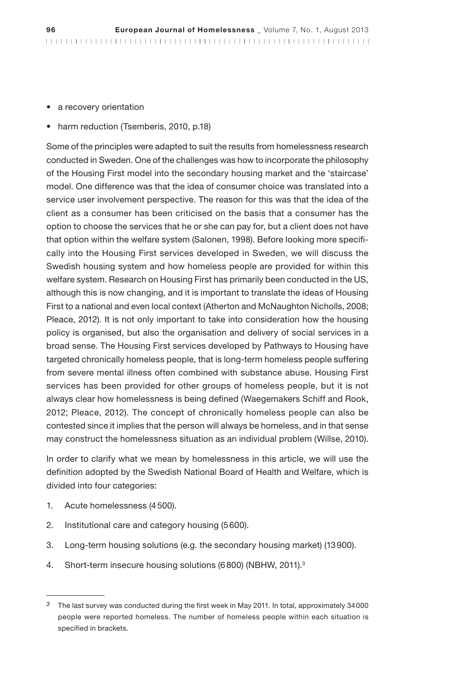- a recovery orientation
- harm reduction (Tsemberis, 2010, p.18)

Some of the principles were adapted to suit the results from homelessness research conducted in Sweden. One of the challenges was how to incorporate the philosophy of the Housing First model into the secondary housing market and the 'staircase' model. One difference was that the idea of consumer choice was translated into a service user involvement perspective. The reason for this was that the idea of the client as a consumer has been criticised on the basis that a consumer has the option to choose the services that he or she can pay for, but a client does not have that option within the welfare system (Salonen, 1998). Before looking more specifically into the Housing First services developed in Sweden, we will discuss the Swedish housing system and how homeless people are provided for within this welfare system. Research on Housing First has primarily been conducted in the US, although this is now changing, and it is important to translate the ideas of Housing First to a national and even local context (Atherton and McNaughton Nicholls, 2008; Pleace, 2012). It is not only important to take into consideration how the housing policy is organised, but also the organisation and delivery of social services in a broad sense. The Housing First services developed by Pathways to Housing have targeted chronically homeless people, that is long-term homeless people suffering from severe mental illness often combined with substance abuse. Housing First services has been provided for other groups of homeless people, but it is not always clear how homelessness is being defined (Waegemakers Schiff and Rook, 2012; Pleace, 2012). The concept of chronically homeless people can also be contested since it implies that the person will always be homeless, and in that sense may construct the homelessness situation as an individual problem (Willse, 2010).

In order to clarify what we mean by homelessness in this article, we will use the definition adopted by the Swedish National Board of Health and Welfare, which is divided into four categories:

- 1. Acute homelessness (4500).
- 2. Institutional care and category housing (5600).
- 3. Long-term housing solutions (e.g. the secondary housing market) (13900).
- 4. Short-term insecure housing solutions (6800) (NBHW, 2011).<sup>3</sup>

<sup>3</sup> The last survey was conducted during the first week in May 2011. In total, approximately 34000 people were reported homeless. The number of homeless people within each situation is specified in brackets.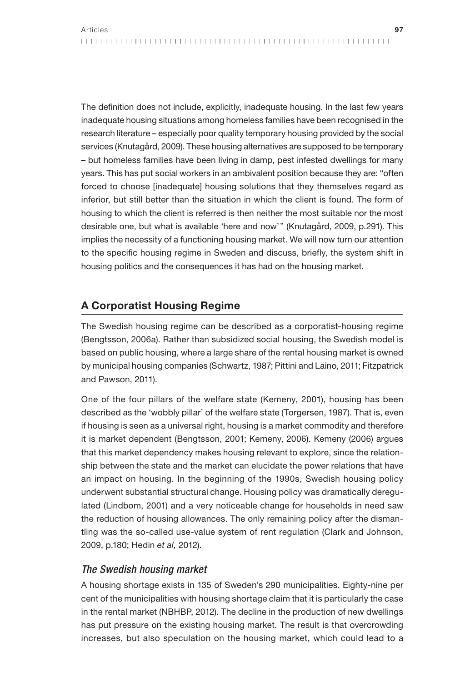The definition does not include, explicitly, inadequate housing. In the last few years inadequate housing situations among homeless families have been recognised in the research literature – especially poor quality temporary housing provided by the social services (Knutagård, 2009). These housing alternatives are supposed to be temporary – but homeless families have been living in damp, pest infested dwellings for many years. This has put social workers in an ambivalent position because they are: "often forced to choose [inadequate] housing solutions that they themselves regard as inferior, but still better than the situation in which the client is found. The form of housing to which the client is referred is then neither the most suitable nor the most desirable one, but what is available 'here and now'" (Knutagård, 2009, p.291). This implies the necessity of a functioning housing market. We will now turn our attention to the specific housing regime in Sweden and discuss, briefly, the system shift in housing politics and the consequences it has had on the housing market.

## A Corporatist Housing Regime

The Swedish housing regime can be described as a corporatist-housing regime (Bengtsson, 2006a). Rather than subsidized social housing, the Swedish model is based on public housing, where a large share of the rental housing market is owned by municipal housing companies (Schwartz, 1987; Pittini and Laino, 2011; Fitzpatrick and Pawson, 2011).

One of the four pillars of the welfare state (Kemeny, 2001), housing has been described as the 'wobbly pillar' of the welfare state (Torgersen, 1987). That is, even if housing is seen as a universal right, housing is a market commodity and therefore it is market dependent (Bengtsson, 2001; Kemeny, 2006). Kemeny (2006) argues that this market dependency makes housing relevant to explore, since the relationship between the state and the market can elucidate the power relations that have an impact on housing. In the beginning of the 1990s, Swedish housing policy underwent substantial structural change. Housing policy was dramatically deregulated (Lindbom, 2001) and a very noticeable change for households in need saw the reduction of housing allowances. The only remaining policy after the dismantling was the so-called use-value system of rent regulation (Clark and Johnson, 2009, p.180; Hedin et al, 2012).

### The Swedish housing market

A housing shortage exists in 135 of Sweden's 290 municipalities. Eighty-nine per cent of the municipalities with housing shortage claim that it is particularly the case in the rental market (NBHBP, 2012). The decline in the production of new dwellings has put pressure on the existing housing market. The result is that overcrowding increases, but also speculation on the housing market, which could lead to a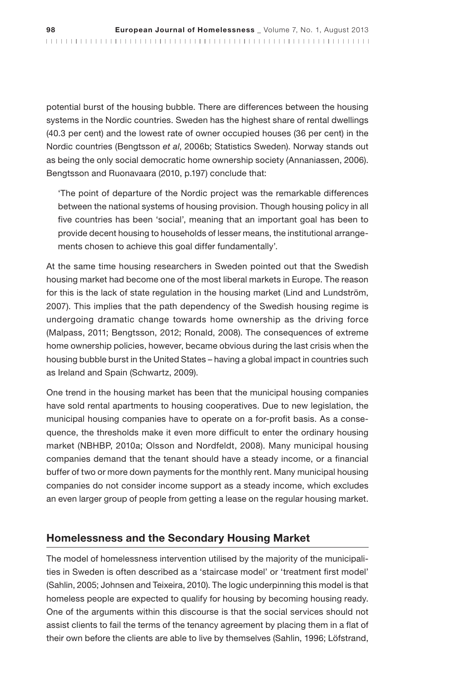potential burst of the housing bubble. There are differences between the housing systems in the Nordic countries. Sweden has the highest share of rental dwellings (40.3 per cent) and the lowest rate of owner occupied houses (36 per cent) in the Nordic countries (Bengtsson et al, 2006b; Statistics Sweden). Norway stands out as being the only social democratic home ownership society (Annaniassen, 2006). Bengtsson and Ruonavaara (2010, p.197) conclude that:

'The point of departure of the Nordic project was the remarkable differences between the national systems of housing provision. Though housing policy in all five countries has been 'social', meaning that an important goal has been to provide decent housing to households of lesser means, the institutional arrangements chosen to achieve this goal differ fundamentally'.

At the same time housing researchers in Sweden pointed out that the Swedish housing market had become one of the most liberal markets in Europe. The reason for this is the lack of state regulation in the housing market (Lind and Lundström, 2007). This implies that the path dependency of the Swedish housing regime is undergoing dramatic change towards home ownership as the driving force (Malpass, 2011; Bengtsson, 2012; Ronald, 2008). The consequences of extreme home ownership policies, however, became obvious during the last crisis when the housing bubble burst in the United States – having a global impact in countries such as Ireland and Spain (Schwartz, 2009).

One trend in the housing market has been that the municipal housing companies have sold rental apartments to housing cooperatives. Due to new legislation, the municipal housing companies have to operate on a for-profit basis. As a consequence, the thresholds make it even more difficult to enter the ordinary housing market (NBHBP, 2010a; Olsson and Nordfeldt, 2008). Many municipal housing companies demand that the tenant should have a steady income, or a financial buffer of two or more down payments for the monthly rent. Many municipal housing companies do not consider income support as a steady income, which excludes an even larger group of people from getting a lease on the regular housing market.

#### Homelessness and the Secondary Housing Market

The model of homelessness intervention utilised by the majority of the municipalities in Sweden is often described as a 'staircase model' or 'treatment first model' (Sahlin, 2005; Johnsen and Teixeira, 2010). The logic underpinning this model is that homeless people are expected to qualify for housing by becoming housing ready. One of the arguments within this discourse is that the social services should not assist clients to fail the terms of the tenancy agreement by placing them in a flat of their own before the clients are able to live by themselves (Sahlin, 1996; Löfstrand,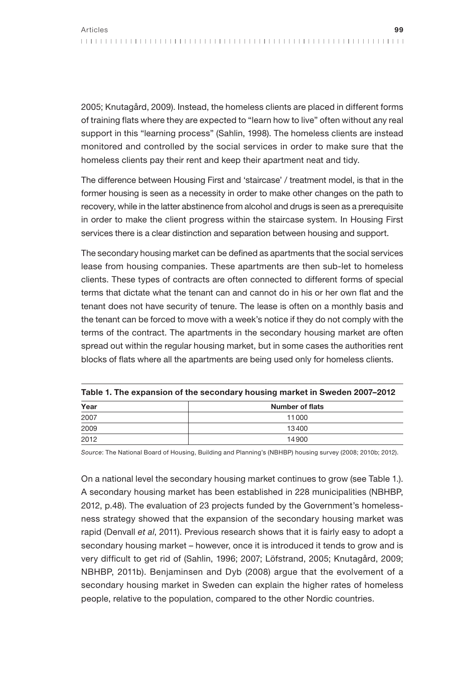2005; Knutagård, 2009). Instead, the homeless clients are placed in different forms of training flats where they are expected to "learn how to live" often without any real support in this "learning process" (Sahlin, 1998). The homeless clients are instead monitored and controlled by the social services in order to make sure that the homeless clients pay their rent and keep their apartment neat and tidy.

The difference between Housing First and 'staircase' / treatment model, is that in the former housing is seen as a necessity in order to make other changes on the path to recovery, while in the latter abstinence from alcohol and drugs is seen as a prerequisite in order to make the client progress within the staircase system. In Housing First services there is a clear distinction and separation between housing and support.

The secondary housing market can be defined as apartments that the social services lease from housing companies. These apartments are then sub-let to homeless clients. These types of contracts are often connected to different forms of special terms that dictate what the tenant can and cannot do in his or her own flat and the tenant does not have security of tenure. The lease is often on a monthly basis and the tenant can be forced to move with a week's notice if they do not comply with the terms of the contract. The apartments in the secondary housing market are often spread out within the regular housing market, but in some cases the authorities rent blocks of flats where all the apartments are being used only for homeless clients.

| Year | <b>Number of flats</b> |  |
|------|------------------------|--|
| 2007 | 11000                  |  |
| 2009 | 13400                  |  |
| 2012 | 14900                  |  |

Table 1. The expansion of the secondary housing market in Sweden 2007–2012

Source: The National Board of Housing, Building and Planning's (NBHBP) housing survey (2008; 2010b; 2012).

On a national level the secondary housing market continues to grow (see Table 1.). A secondary housing market has been established in 228 municipalities (NBHBP, 2012, p.48). The evaluation of 23 projects funded by the Government's homelessness strategy showed that the expansion of the secondary housing market was rapid (Denvall et al, 2011). Previous research shows that it is fairly easy to adopt a secondary housing market – however, once it is introduced it tends to grow and is very difficult to get rid of (Sahlin, 1996; 2007; Löfstrand, 2005; Knutagård, 2009; NBHBP, 2011b). Benjaminsen and Dyb (2008) argue that the evolvement of a secondary housing market in Sweden can explain the higher rates of homeless people, relative to the population, compared to the other Nordic countries.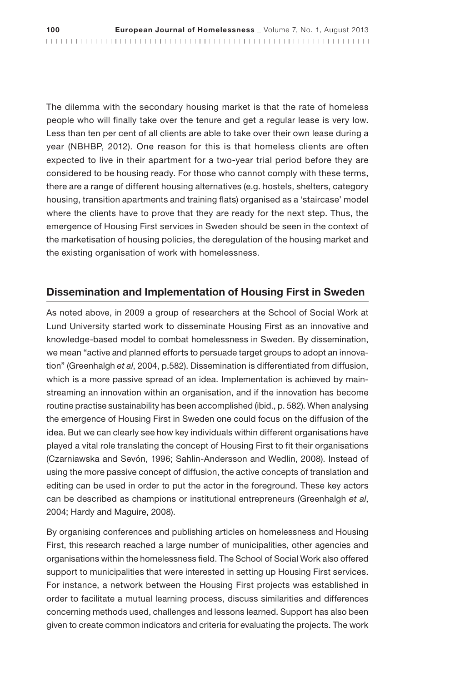The dilemma with the secondary housing market is that the rate of homeless people who will finally take over the tenure and get a regular lease is very low. Less than ten per cent of all clients are able to take over their own lease during a year (NBHBP, 2012). One reason for this is that homeless clients are often expected to live in their apartment for a two-year trial period before they are considered to be housing ready. For those who cannot comply with these terms, there are a range of different housing alternatives (e.g. hostels, shelters, category housing, transition apartments and training flats) organised as a 'staircase' model where the clients have to prove that they are ready for the next step. Thus, the emergence of Housing First services in Sweden should be seen in the context of the marketisation of housing policies, the deregulation of the housing market and the existing organisation of work with homelessness.

#### Dissemination and Implementation of Housing First in Sweden

As noted above, in 2009 a group of researchers at the School of Social Work at Lund University started work to disseminate Housing First as an innovative and knowledge-based model to combat homelessness in Sweden. By dissemination, we mean "active and planned efforts to persuade target groups to adopt an innovation" (Greenhalgh et al, 2004, p.582). Dissemination is differentiated from diffusion, which is a more passive spread of an idea. Implementation is achieved by mainstreaming an innovation within an organisation, and if the innovation has become routine practise sustainability has been accomplished (ibid., p. 582). When analysing the emergence of Housing First in Sweden one could focus on the diffusion of the idea. But we can clearly see how key individuals within different organisations have played a vital role translating the concept of Housing First to fit their organisations (Czarniawska and Sevón, 1996; Sahlin-Andersson and Wedlin, 2008). Instead of using the more passive concept of diffusion, the active concepts of translation and editing can be used in order to put the actor in the foreground. These key actors can be described as champions or institutional entrepreneurs (Greenhalgh et al, 2004; Hardy and Maguire, 2008).

By organising conferences and publishing articles on homelessness and Housing First, this research reached a large number of municipalities, other agencies and organisations within the homelessness field. The School of Social Work also offered support to municipalities that were interested in setting up Housing First services. For instance, a network between the Housing First projects was established in order to facilitate a mutual learning process, discuss similarities and differences concerning methods used, challenges and lessons learned. Support has also been given to create common indicators and criteria for evaluating the projects. The work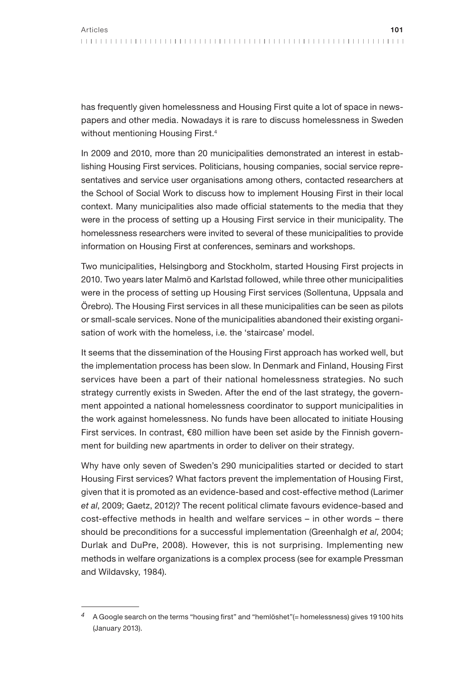has frequently given homelessness and Housing First quite a lot of space in newspapers and other media. Nowadays it is rare to discuss homelessness in Sweden without mentioning Housing First.<sup>4</sup>

In 2009 and 2010, more than 20 municipalities demonstrated an interest in establishing Housing First services. Politicians, housing companies, social service representatives and service user organisations among others, contacted researchers at the School of Social Work to discuss how to implement Housing First in their local context. Many municipalities also made official statements to the media that they were in the process of setting up a Housing First service in their municipality. The homelessness researchers were invited to several of these municipalities to provide information on Housing First at conferences, seminars and workshops.

Two municipalities, Helsingborg and Stockholm, started Housing First projects in 2010. Two years later Malmö and Karlstad followed, while three other municipalities were in the process of setting up Housing First services (Sollentuna, Uppsala and Örebro). The Housing First services in all these municipalities can be seen as pilots or small-scale services. None of the municipalities abandoned their existing organisation of work with the homeless, i.e. the 'staircase' model.

It seems that the dissemination of the Housing First approach has worked well, but the implementation process has been slow. In Denmark and Finland, Housing First services have been a part of their national homelessness strategies. No such strategy currently exists in Sweden. After the end of the last strategy, the government appointed a national homelessness coordinator to support municipalities in the work against homelessness. No funds have been allocated to initiate Housing First services. In contrast, €80 million have been set aside by the Finnish government for building new apartments in order to deliver on their strategy.

Why have only seven of Sweden's 290 municipalities started or decided to start Housing First services? What factors prevent the implementation of Housing First, given that it is promoted as an evidence-based and cost-effective method (Larimer et al, 2009; Gaetz, 2012)? The recent political climate favours evidence-based and cost-effective methods in health and welfare services – in other words – there should be preconditions for a successful implementation (Greenhalgh et al, 2004; Durlak and DuPre, 2008). However, this is not surprising. Implementing new methods in welfare organizations is a complex process (see for example Pressman and Wildavsky, 1984).

<sup>4</sup> A Google search on the terms "housing first" and "hemlöshet"(= homelessness) gives 19100 hits (January 2013).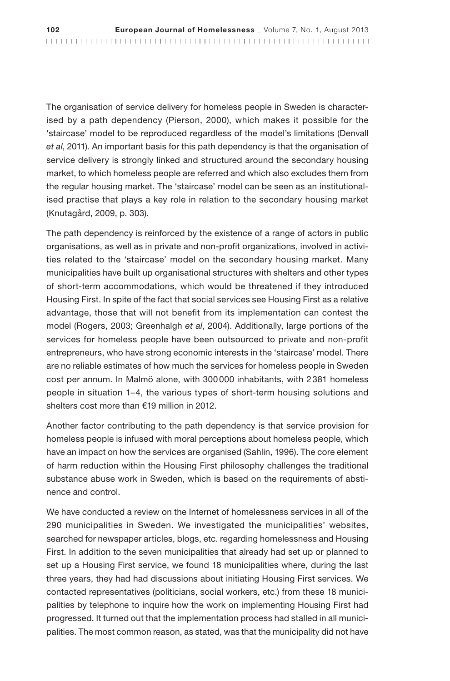The organisation of service delivery for homeless people in Sweden is characterised by a path dependency (Pierson, 2000), which makes it possible for the 'staircase' model to be reproduced regardless of the model's limitations (Denvall et al, 2011). An important basis for this path dependency is that the organisation of service delivery is strongly linked and structured around the secondary housing market, to which homeless people are referred and which also excludes them from the regular housing market. The 'staircase' model can be seen as an institutionalised practise that plays a key role in relation to the secondary housing market (Knutagård, 2009, p. 303).

The path dependency is reinforced by the existence of a range of actors in public organisations, as well as in private and non-profit organizations, involved in activities related to the 'staircase' model on the secondary housing market. Many municipalities have built up organisational structures with shelters and other types of short-term accommodations, which would be threatened if they introduced Housing First. In spite of the fact that social services see Housing First as a relative advantage, those that will not benefit from its implementation can contest the model (Rogers, 2003; Greenhalgh et al, 2004). Additionally, large portions of the services for homeless people have been outsourced to private and non-profit entrepreneurs, who have strong economic interests in the 'staircase' model. There are no reliable estimates of how much the services for homeless people in Sweden cost per annum. In Malmö alone, with 300000 inhabitants, with 2381 homeless people in situation 1–4, the various types of short-term housing solutions and shelters cost more than €19 million in 2012.

Another factor contributing to the path dependency is that service provision for homeless people is infused with moral perceptions about homeless people, which have an impact on how the services are organised (Sahlin, 1996). The core element of harm reduction within the Housing First philosophy challenges the traditional substance abuse work in Sweden, which is based on the requirements of abstinence and control.

We have conducted a review on the Internet of homelessness services in all of the 290 municipalities in Sweden. We investigated the municipalities' websites, searched for newspaper articles, blogs, etc. regarding homelessness and Housing First. In addition to the seven municipalities that already had set up or planned to set up a Housing First service, we found 18 municipalities where, during the last three years, they had had discussions about initiating Housing First services. We contacted representatives (politicians, social workers, etc.) from these 18 municipalities by telephone to inquire how the work on implementing Housing First had progressed. It turned out that the implementation process had stalled in all municipalities. The most common reason, as stated, was that the municipality did not have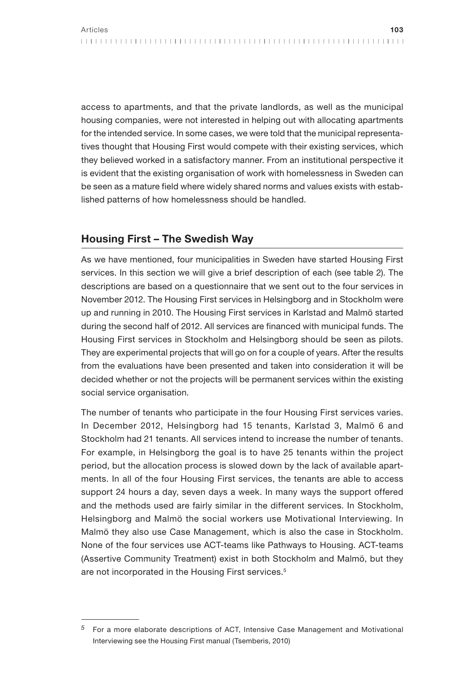access to apartments, and that the private landlords, as well as the municipal housing companies, were not interested in helping out with allocating apartments for the intended service. In some cases, we were told that the municipal representatives thought that Housing First would compete with their existing services, which they believed worked in a satisfactory manner. From an institutional perspective it is evident that the existing organisation of work with homelessness in Sweden can be seen as a mature field where widely shared norms and values exists with established patterns of how homelessness should be handled.

### Housing First – The Swedish Way

As we have mentioned, four municipalities in Sweden have started Housing First services. In this section we will give a brief description of each (see table 2). The descriptions are based on a questionnaire that we sent out to the four services in November 2012. The Housing First services in Helsingborg and in Stockholm were up and running in 2010. The Housing First services in Karlstad and Malmö started during the second half of 2012. All services are financed with municipal funds. The Housing First services in Stockholm and Helsingborg should be seen as pilots. They are experimental projects that will go on for a couple of years. After the results from the evaluations have been presented and taken into consideration it will be decided whether or not the projects will be permanent services within the existing social service organisation.

The number of tenants who participate in the four Housing First services varies. In December 2012, Helsingborg had 15 tenants, Karlstad 3, Malmö 6 and Stockholm had 21 tenants. All services intend to increase the number of tenants. For example, in Helsingborg the goal is to have 25 tenants within the project period, but the allocation process is slowed down by the lack of available apartments. In all of the four Housing First services, the tenants are able to access support 24 hours a day, seven days a week. In many ways the support offered and the methods used are fairly similar in the different services. In Stockholm, Helsingborg and Malmö the social workers use Motivational Interviewing. In Malmö they also use Case Management, which is also the case in Stockholm. None of the four services use ACT-teams like Pathways to Housing. ACT-teams (Assertive Community Treatment) exist in both Stockholm and Malmö, but they are not incorporated in the Housing First services.<sup>5</sup>

<sup>5</sup> For a more elaborate descriptions of ACT, Intensive Case Management and Motivational Interviewing see the Housing First manual (Tsemberis, 2010)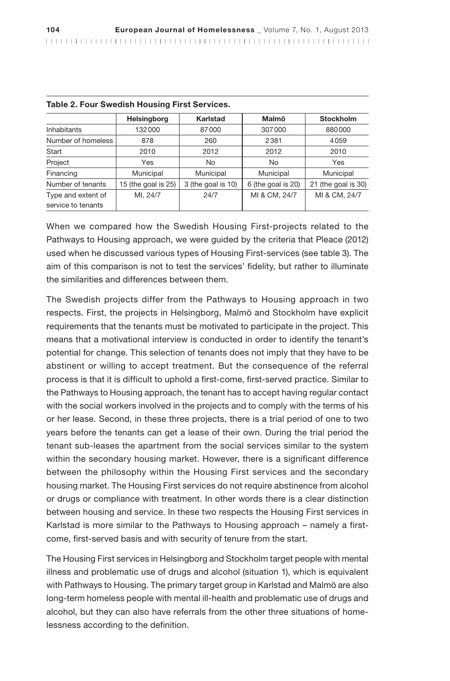| Table 2. Four Swedish Housing First Services. |                     |                    |                    |                     |  |  |
|-----------------------------------------------|---------------------|--------------------|--------------------|---------------------|--|--|
|                                               | <b>Helsingborg</b>  | Karlstad           | Malmö              | <b>Stockholm</b>    |  |  |
| Inhabitants                                   | 132000              | 87000              | 307000             | 880000              |  |  |
| Number of homeless                            | 878                 | 260                | 2381               | 4059                |  |  |
| Start                                         | 2010                | 2012               | 2012               | 2010                |  |  |
| Project                                       | <b>Yes</b>          | N <sub>o</sub>     | <b>No</b>          | Yes                 |  |  |
| Financing                                     | Municipal           | Municipal          | Municipal          | Municipal           |  |  |
| Number of tenants                             | 15 (the goal is 25) | 3 (the goal is 10) | 6 (the goal is 20) | 21 (the goal is 30) |  |  |
| Type and extent of                            | MI, 24/7            | 24/7               | MI & CM, 24/7      | MI & CM, 24/7       |  |  |
| service to tenants                            |                     |                    |                    |                     |  |  |

|  |  |  | Table 2. Four Swedish Housing First Services. |
|--|--|--|-----------------------------------------------|
|  |  |  |                                               |

When we compared how the Swedish Housing First-projects related to the Pathways to Housing approach, we were guided by the criteria that Pleace (2012) used when he discussed various types of Housing First-services (see table 3). The aim of this comparison is not to test the services' fidelity, but rather to illuminate the similarities and differences between them.

The Swedish projects differ from the Pathways to Housing approach in two respects. First, the projects in Helsingborg, Malmö and Stockholm have explicit requirements that the tenants must be motivated to participate in the project. This means that a motivational interview is conducted in order to identify the tenant's potential for change. This selection of tenants does not imply that they have to be abstinent or willing to accept treatment. But the consequence of the referral process is that it is difficult to uphold a first-come, first-served practice. Similar to the Pathways to Housing approach, the tenant has to accept having regular contact with the social workers involved in the projects and to comply with the terms of his or her lease. Second, in these three projects, there is a trial period of one to two years before the tenants can get a lease of their own. During the trial period the tenant sub-leases the apartment from the social services similar to the system within the secondary housing market. However, there is a significant difference between the philosophy within the Housing First services and the secondary housing market. The Housing First services do not require abstinence from alcohol or drugs or compliance with treatment. In other words there is a clear distinction between housing and service. In these two respects the Housing First services in Karlstad is more similar to the Pathways to Housing approach – namely a firstcome, first-served basis and with security of tenure from the start.

The Housing First services in Helsingborg and Stockholm target people with mental illness and problematic use of drugs and alcohol (situation 1), which is equivalent with Pathways to Housing. The primary target group in Karlstad and Malmö are also long-term homeless people with mental ill-health and problematic use of drugs and alcohol, but they can also have referrals from the other three situations of homelessness according to the definition.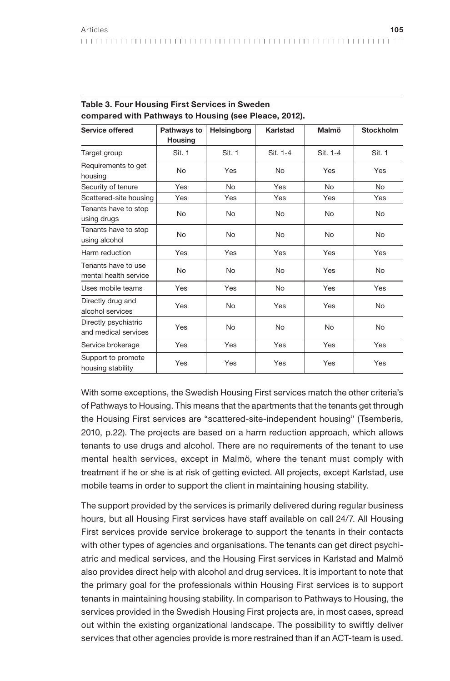| Service offered                              | Pathways to    | Helsingborg    | Karlstad   | Malmö      | <b>Stockholm</b> |
|----------------------------------------------|----------------|----------------|------------|------------|------------------|
|                                              | <b>Housing</b> |                |            |            |                  |
| Target group                                 | Sit. 1         | Sit. 1         | Sit. 1-4   | Sit. 1-4   | Sit. 1           |
| Requirements to get<br>housing               | <b>No</b>      | Yes            | <b>No</b>  | <b>Yes</b> | Yes              |
| Security of tenure                           | Yes            | N <sub>o</sub> | <b>Yes</b> | <b>No</b>  | No.              |
| Scattered-site housing                       | Yes            | Yes            | Yes        | Yes        | Yes              |
| Tenants have to stop<br>using drugs          | No             | <b>No</b>      | <b>No</b>  | <b>No</b>  | N <sub>o</sub>   |
| Tenants have to stop<br>using alcohol        | <b>No</b>      | <b>No</b>      | No         | <b>No</b>  | N <sub>o</sub>   |
| Harm reduction                               | Yes            | Yes            | Yes        | Yes        | Yes              |
| Tenants have to use<br>mental health service | <b>No</b>      | <b>No</b>      | <b>No</b>  | <b>Yes</b> | No               |
| Uses mobile teams                            | Yes            | Yes            | No         | <b>Yes</b> | Yes              |
| Directly drug and<br>alcohol services        | Yes            | <b>No</b>      | Yes        | Yes        | <b>No</b>        |
| Directly psychiatric<br>and medical services | Yes            | <b>No</b>      | <b>No</b>  | <b>No</b>  | <b>No</b>        |
| Service brokerage                            | Yes            | Yes            | <b>Yes</b> | <b>Yes</b> | Yes              |
| Support to promote<br>housing stability      | Yes            | Yes            | Yes        | Yes        | Yes              |

Table 3. Four Housing First Services in Sweden compared with Pathways to Housing (see Pleace, 2012).

With some exceptions, the Swedish Housing First services match the other criteria's of Pathways to Housing. This means that the apartments that the tenants get through the Housing First services are "scattered-site-independent housing" (Tsemberis, 2010, p.22). The projects are based on a harm reduction approach, which allows tenants to use drugs and alcohol. There are no requirements of the tenant to use mental health services, except in Malmö, where the tenant must comply with treatment if he or she is at risk of getting evicted. All projects, except Karlstad, use mobile teams in order to support the client in maintaining housing stability.

The support provided by the services is primarily delivered during regular business hours, but all Housing First services have staff available on call 24/7. All Housing First services provide service brokerage to support the tenants in their contacts with other types of agencies and organisations. The tenants can get direct psychiatric and medical services, and the Housing First services in Karlstad and Malmö also provides direct help with alcohol and drug services. It is important to note that the primary goal for the professionals within Housing First services is to support tenants in maintaining housing stability. In comparison to Pathways to Housing, the services provided in the Swedish Housing First projects are, in most cases, spread out within the existing organizational landscape. The possibility to swiftly deliver services that other agencies provide is more restrained than if an ACT-team is used.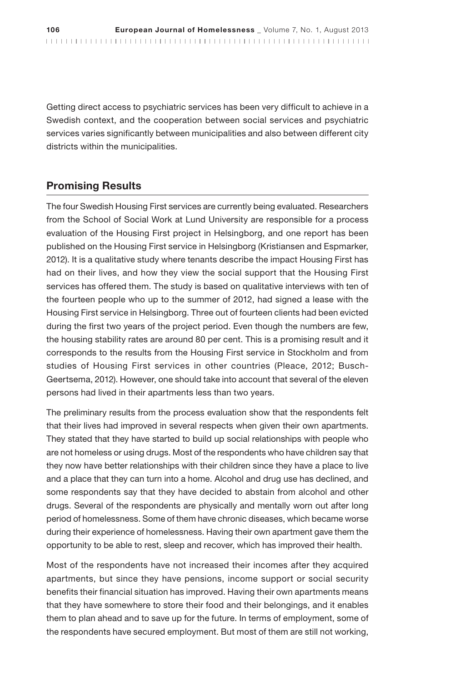Getting direct access to psychiatric services has been very difficult to achieve in a Swedish context, and the cooperation between social services and psychiatric services varies significantly between municipalities and also between different city districts within the municipalities.

## Promising Results

The four Swedish Housing First services are currently being evaluated. Researchers from the School of Social Work at Lund University are responsible for a process evaluation of the Housing First project in Helsingborg, and one report has been published on the Housing First service in Helsingborg (Kristiansen and Espmarker, 2012). It is a qualitative study where tenants describe the impact Housing First has had on their lives, and how they view the social support that the Housing First services has offered them. The study is based on qualitative interviews with ten of the fourteen people who up to the summer of 2012, had signed a lease with the Housing First service in Helsingborg. Three out of fourteen clients had been evicted during the first two years of the project period. Even though the numbers are few, the housing stability rates are around 80 per cent. This is a promising result and it corresponds to the results from the Housing First service in Stockholm and from studies of Housing First services in other countries (Pleace, 2012; Busch-Geertsema, 2012). However, one should take into account that several of the eleven persons had lived in their apartments less than two years.

The preliminary results from the process evaluation show that the respondents felt that their lives had improved in several respects when given their own apartments. They stated that they have started to build up social relationships with people who are not homeless or using drugs. Most of the respondents who have children say that they now have better relationships with their children since they have a place to live and a place that they can turn into a home. Alcohol and drug use has declined, and some respondents say that they have decided to abstain from alcohol and other drugs. Several of the respondents are physically and mentally worn out after long period of homelessness. Some of them have chronic diseases, which became worse during their experience of homelessness. Having their own apartment gave them the opportunity to be able to rest, sleep and recover, which has improved their health.

Most of the respondents have not increased their incomes after they acquired apartments, but since they have pensions, income support or social security benefits their financial situation has improved. Having their own apartments means that they have somewhere to store their food and their belongings, and it enables them to plan ahead and to save up for the future. In terms of employment, some of the respondents have secured employment. But most of them are still not working,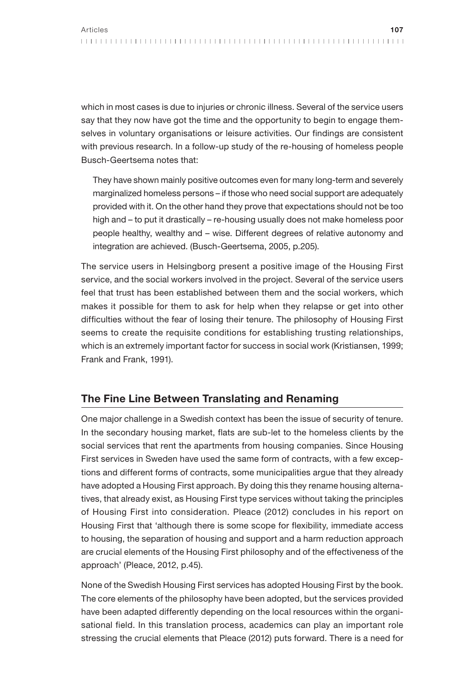which in most cases is due to injuries or chronic illness. Several of the service users say that they now have got the time and the opportunity to begin to engage themselves in voluntary organisations or leisure activities. Our findings are consistent with previous research. In a follow-up study of the re-housing of homeless people Busch-Geertsema notes that:

They have shown mainly positive outcomes even for many long-term and severely marginalized homeless persons – if those who need social support are adequately provided with it. On the other hand they prove that expectations should not be too high and – to put it drastically – re-housing usually does not make homeless poor people healthy, wealthy and – wise. Different degrees of relative autonomy and integration are achieved. (Busch-Geertsema, 2005, p.205).

The service users in Helsingborg present a positive image of the Housing First service, and the social workers involved in the project. Several of the service users feel that trust has been established between them and the social workers, which makes it possible for them to ask for help when they relapse or get into other difficulties without the fear of losing their tenure. The philosophy of Housing First seems to create the requisite conditions for establishing trusting relationships, which is an extremely important factor for success in social work (Kristiansen, 1999; Frank and Frank, 1991).

### The Fine Line Between Translating and Renaming

One major challenge in a Swedish context has been the issue of security of tenure. In the secondary housing market, flats are sub-let to the homeless clients by the social services that rent the apartments from housing companies. Since Housing First services in Sweden have used the same form of contracts, with a few exceptions and different forms of contracts, some municipalities argue that they already have adopted a Housing First approach. By doing this they rename housing alternatives, that already exist, as Housing First type services without taking the principles of Housing First into consideration. Pleace (2012) concludes in his report on Housing First that 'although there is some scope for flexibility, immediate access to housing, the separation of housing and support and a harm reduction approach are crucial elements of the Housing First philosophy and of the effectiveness of the approach' (Pleace, 2012, p.45).

None of the Swedish Housing First services has adopted Housing First by the book. The core elements of the philosophy have been adopted, but the services provided have been adapted differently depending on the local resources within the organisational field. In this translation process, academics can play an important role stressing the crucial elements that Pleace (2012) puts forward. There is a need for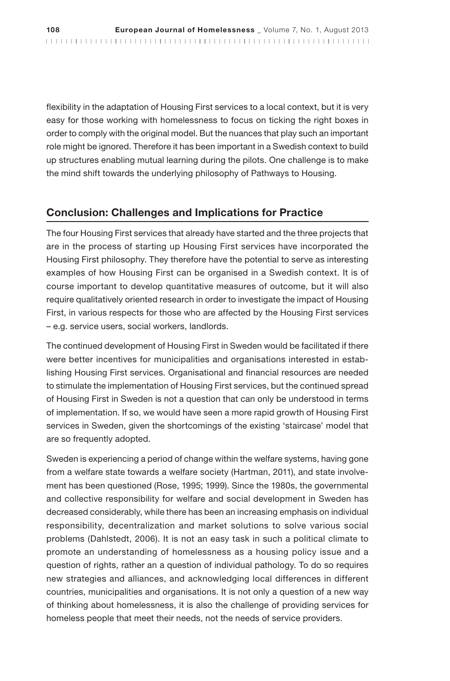flexibility in the adaptation of Housing First services to a local context, but it is very easy for those working with homelessness to focus on ticking the right boxes in order to comply with the original model. But the nuances that play such an important role might be ignored. Therefore it has been important in a Swedish context to build up structures enabling mutual learning during the pilots. One challenge is to make the mind shift towards the underlying philosophy of Pathways to Housing.

#### Conclusion: Challenges and Implications for Practice

The four Housing First services that already have started and the three projects that are in the process of starting up Housing First services have incorporated the Housing First philosophy. They therefore have the potential to serve as interesting examples of how Housing First can be organised in a Swedish context. It is of course important to develop quantitative measures of outcome, but it will also require qualitatively oriented research in order to investigate the impact of Housing First, in various respects for those who are affected by the Housing First services – e.g. service users, social workers, landlords.

The continued development of Housing First in Sweden would be facilitated if there were better incentives for municipalities and organisations interested in establishing Housing First services. Organisational and financial resources are needed to stimulate the implementation of Housing First services, but the continued spread of Housing First in Sweden is not a question that can only be understood in terms of implementation. If so, we would have seen a more rapid growth of Housing First services in Sweden, given the shortcomings of the existing 'staircase' model that are so frequently adopted.

Sweden is experiencing a period of change within the welfare systems, having gone from a welfare state towards a welfare society (Hartman, 2011), and state involvement has been questioned (Rose, 1995; 1999). Since the 1980s, the governmental and collective responsibility for welfare and social development in Sweden has decreased considerably, while there has been an increasing emphasis on individual responsibility, decentralization and market solutions to solve various social problems (Dahlstedt, 2006). It is not an easy task in such a political climate to promote an understanding of homelessness as a housing policy issue and a question of rights, rather an a question of individual pathology. To do so requires new strategies and alliances, and acknowledging local differences in different countries, municipalities and organisations. It is not only a question of a new way of thinking about homelessness, it is also the challenge of providing services for homeless people that meet their needs, not the needs of service providers.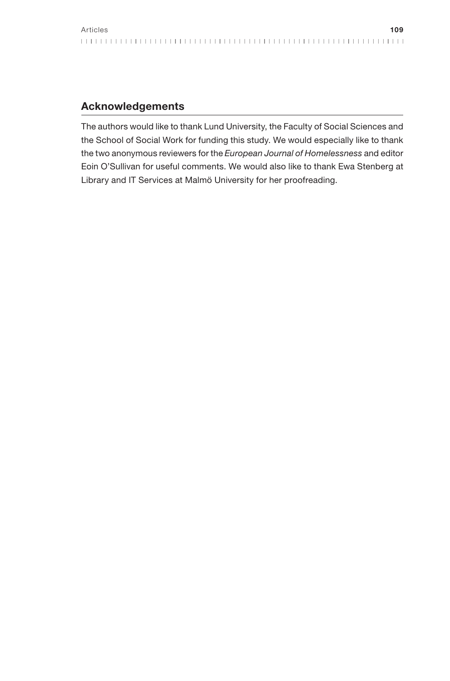### Acknowledgements

The authors would like to thank Lund University, the Faculty of Social Sciences and the School of Social Work for funding this study. We would especially like to thank the two anonymous reviewers for the European Journal of Homelessness and editor Eoin O'Sullivan for useful comments. We would also like to thank Ewa Stenberg at Library and IT Services at Malmö University for her proofreading.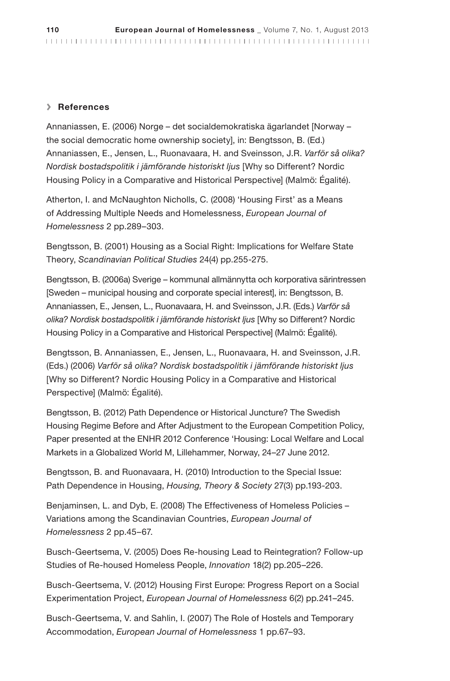#### **>** References

Annaniassen, E. (2006) Norge – det socialdemokratiska ägarlandet [Norway – the social democratic home ownership society], in: Bengtsson, B. (Ed.) Annaniassen, E., Jensen, L., Ruonavaara, H. and Sveinsson, J.R. Varför så olika? Nordisk bostadspolitik i jämförande historiskt ljus [Why so Different? Nordic Housing Policy in a Comparative and Historical Perspective] (Malmö: Égalité).

Atherton, I. and McNaughton Nicholls, C. (2008) 'Housing First' as a Means of Addressing Multiple Needs and Homelessness, European Journal of Homelessness 2 pp.289–303.

Bengtsson, B. (2001) Housing as a Social Right: Implications for Welfare State Theory, Scandinavian Political Studies 24(4) pp.255-275.

Bengtsson, B. (2006a) Sverige – kommunal allmännytta och korporativa särintressen [Sweden – municipal housing and corporate special interest], in: Bengtsson, B. Annaniassen, E., Jensen, L., Ruonavaara, H. and Sveinsson, J.R. (Eds.) Varför så olika? Nordisk bostadspolitik i jämförande historiskt ljus [Why so Different? Nordic Housing Policy in a Comparative and Historical Perspective] (Malmö: Égalité).

Bengtsson, B. Annaniassen, E., Jensen, L., Ruonavaara, H. and Sveinsson, J.R. (Eds.) (2006) Varför så olika? Nordisk bostadspolitik i jämförande historiskt ljus [Why so Different? Nordic Housing Policy in a Comparative and Historical Perspective] (Malmö: Égalité).

Bengtsson, B. (2012) Path Dependence or Historical Juncture? The Swedish Housing Regime Before and After Adjustment to the European Competition Policy, Paper presented at the ENHR 2012 Conference 'Housing: Local Welfare and Local Markets in a Globalized World M, Lillehammer, Norway, 24–27 June 2012.

Bengtsson, B. and Ruonavaara, H. (2010) Introduction to the Special Issue: Path Dependence in Housing, Housing, Theory & Society 27(3) pp.193-203.

Benjaminsen, L. and Dyb, E. (2008) The Effectiveness of Homeless Policies – Variations among the Scandinavian Countries, European Journal of Homelessness 2 pp.45–67.

Busch-Geertsema, V. (2005) Does Re-housing Lead to Reintegration? Follow-up Studies of Re-housed Homeless People, Innovation 18(2) pp.205–226.

Busch-Geertsema, V. (2012) Housing First Europe: Progress Report on a Social Experimentation Project, European Journal of Homelessness 6(2) pp.241–245.

Busch-Geertsema, V. and Sahlin, I. (2007) The Role of Hostels and Temporary Accommodation, European Journal of Homelessness 1 pp.67–93.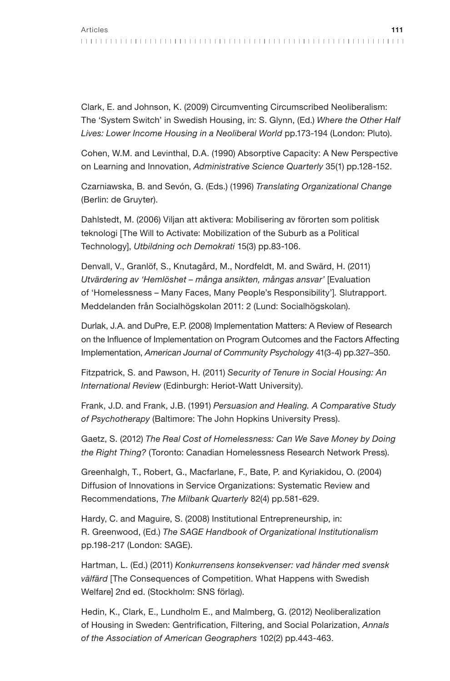Clark, E. and Johnson, K. (2009) Circumventing Circumscribed Neoliberalism: The 'System Switch' in Swedish Housing, in: S. Glynn, (Ed.) Where the Other Half Lives: Lower Income Housing in a Neoliberal World pp.173-194 (London: Pluto).

Cohen, W.M. and Levinthal, D.A. (1990) Absorptive Capacity: A New Perspective on Learning and Innovation, Administrative Science Quarterly 35(1) pp.128-152.

Czarniawska, B. and Sevón, G. (Eds.) (1996) Translating Organizational Change (Berlin: de Gruyter).

Dahlstedt, M. (2006) Viljan att aktivera: Mobilisering av förorten som politisk teknologi [The Will to Activate: Mobilization of the Suburb as a Political Technology], Utbildning och Demokrati 15(3) pp.83-106.

Denvall, V., Granlöf, S., Knutagård, M., Nordfeldt, M. and Swärd, H. (2011) Utvärdering av 'Hemlöshet – många ansikten, mångas ansvar' [Evaluation of 'Homelessness – Many Faces, Many People's Responsibility']. Slutrapport. Meddelanden från Socialhögskolan 2011: 2 (Lund: Socialhögskolan).

Durlak, J.A. and DuPre, E.P. (2008) Implementation Matters: A Review of Research on the Influence of Implementation on Program Outcomes and the Factors Affecting Implementation, American Journal of Community Psychology 41(3-4) pp.327–350.

Fitzpatrick, S. and Pawson, H. (2011) Security of Tenure in Social Housing: An International Review (Edinburgh: Heriot-Watt University).

Frank, J.D. and Frank, J.B. (1991) Persuasion and Healing. A Comparative Study of Psychotherapy (Baltimore: The John Hopkins University Press).

Gaetz, S. (2012) The Real Cost of Homelessness: Can We Save Money by Doing the Right Thing? (Toronto: Canadian Homelessness Research Network Press).

Greenhalgh, T., Robert, G., Macfarlane, F., Bate, P. and Kyriakidou, O. (2004) Diffusion of Innovations in Service Organizations: Systematic Review and Recommendations, The Milbank Quarterly 82(4) pp.581-629.

Hardy, C. and Maguire, S. (2008) Institutional Entrepreneurship, in: R. Greenwood, (Ed.) The SAGE Handbook of Organizational Institutionalism pp.198-217 (London: SAGE).

Hartman, L. (Ed.) (2011) Konkurrensens konsekvenser: vad händer med svensk välfärd [The Consequences of Competition. What Happens with Swedish Welfare] 2nd ed. (Stockholm: SNS förlag).

Hedin, K., Clark, E., Lundholm E., and Malmberg, G. (2012) Neoliberalization of Housing in Sweden: Gentrification, Filtering, and Social Polarization, Annals of the Association of American Geographers 102(2) pp.443-463.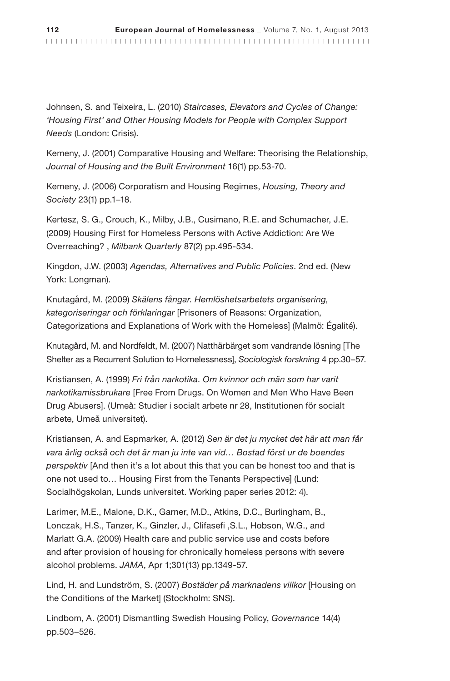Johnsen, S. and Teixeira, L. (2010) Staircases, Elevators and Cycles of Change: 'Housing First' and Other Housing Models for People with Complex Support Needs (London: Crisis).

Kemeny, J. (2001) Comparative Housing and Welfare: Theorising the Relationship, Journal of Housing and the Built Environment 16(1) pp.53-70.

Kemeny, J. (2006) Corporatism and Housing Regimes, Housing, Theory and Society 23(1) pp.1–18.

Kertesz, S. G., Crouch, K., Milby, J.B., Cusimano, R.E. and Schumacher, J.E. (2009) Housing First for Homeless Persons with Active Addiction: Are We Overreaching? , Milbank Quarterly 87(2) pp.495-534.

Kingdon, J.W. (2003) Agendas, Alternatives and Public Policies. 2nd ed. (New York: Longman).

Knutagård, M. (2009) Skälens fångar. Hemlöshetsarbetets organisering, kategoriseringar och förklaringar [Prisoners of Reasons: Organization, Categorizations and Explanations of Work with the Homeless] (Malmö: Égalité).

Knutagård, M. and Nordfeldt, M. (2007) Natthärbärget som vandrande lösning [The Shelter as a Recurrent Solution to Homelessness], Sociologisk forskning 4 pp.30-57.

Kristiansen, A. (1999) Fri från narkotika. Om kvinnor och män som har varit narkotikamissbrukare [Free From Drugs. On Women and Men Who Have Been Drug Abusers]. (Umeå: Studier i socialt arbete nr 28, Institutionen för socialt arbete, Umeå universitet).

Kristiansen, A. and Espmarker, A. (2012) Sen är det ju mycket det här att man får vara ärlig också och det är man ju inte van vid… Bostad först ur de boendes perspektiv [And then it's a lot about this that you can be honest too and that is one not used to… Housing First from the Tenants Perspective] (Lund: Socialhögskolan, Lunds universitet. Working paper series 2012: 4).

Larimer, M.E., Malone, D.K., Garner, M.D., Atkins, D.C., Burlingham, B., Lonczak, H.S., Tanzer, K., Ginzler, J., Clifasefi ,S.L., Hobson, W.G., and Marlatt G.A. (2009) Health care and public service use and costs before and after provision of housing for chronically homeless persons with severe alcohol problems. JAMA, Apr 1;301(13) pp.1349-57.

Lind, H. and Lundström, S. (2007) Bostäder på marknadens villkor [Housing on the Conditions of the Market] (Stockholm: SNS).

Lindbom, A. (2001) Dismantling Swedish Housing Policy, Governance 14(4) pp.503–526.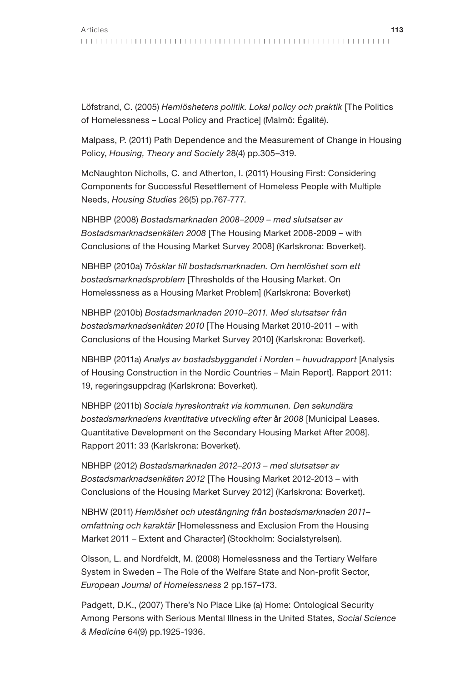Löfstrand, C. (2005) Hemlöshetens politik. Lokal policy och praktik [The Politics of Homelessness – Local Policy and Practice] (Malmö: Égalité).

Malpass, P. (2011) Path Dependence and the Measurement of Change in Housing Policy, Housing, Theory and Society 28(4) pp.305–319.

McNaughton Nicholls, C. and Atherton, I. (2011) Housing First: Considering Components for Successful Resettlement of Homeless People with Multiple Needs, Housing Studies 26(5) pp.767-777.

NBHBP (2008) Bostadsmarknaden 2008–2009 – med slutsatser av Bostadsmarknadsenkäten 2008 [The Housing Market 2008-2009 – with Conclusions of the Housing Market Survey 2008] (Karlskrona: Boverket).

NBHBP (2010a) Trösklar till bostadsmarknaden. Om hemlöshet som ett bostadsmarknadsproblem [Thresholds of the Housing Market. On Homelessness as a Housing Market Problem] (Karlskrona: Boverket)

NBHBP (2010b) Bostadsmarknaden 2010–2011. Med slutsatser från bostadsmarknadsenkäten 2010 [The Housing Market 2010-2011 – with Conclusions of the Housing Market Survey 2010] (Karlskrona: Boverket).

NBHBP (2011a) Analys av bostadsbyggandet i Norden – huvudrapport [Analysis of Housing Construction in the Nordic Countries – Main Report]. Rapport 2011: 19, regeringsuppdrag (Karlskrona: Boverket).

NBHBP (2011b) Sociala hyreskontrakt via kommunen. Den sekundära bostadsmarknadens kvantitativa utveckling efter år 2008 [Municipal Leases. Quantitative Development on the Secondary Housing Market After 2008]. Rapport 2011: 33 (Karlskrona: Boverket).

NBHBP (2012) Bostadsmarknaden 2012–2013 – med slutsatser av Bostadsmarknadsenkäten 2012 [The Housing Market 2012-2013 – with Conclusions of the Housing Market Survey 2012] (Karlskrona: Boverket).

NBHW (2011) Hemlöshet och utestängning från bostadsmarknaden 2011– omfattning och karaktär [Homelessness and Exclusion From the Housing Market 2011 – Extent and Character] (Stockholm: Socialstyrelsen).

Olsson, L. and Nordfeldt, M. (2008) Homelessness and the Tertiary Welfare System in Sweden – The Role of the Welfare State and Non-profit Sector, European Journal of Homelessness 2 pp.157–173.

Padgett, D.K., (2007) There's No Place Like (a) Home: Ontological Security Among Persons with Serious Mental Illness in the United States, Social Science & Medicine 64(9) pp.1925-1936.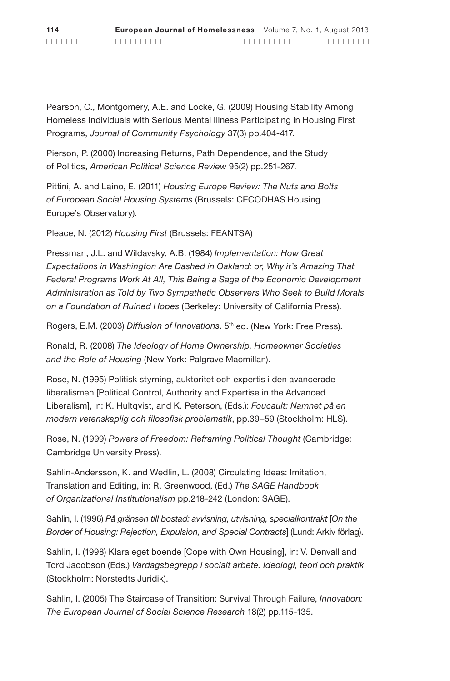Pearson, C., Montgomery, A.E. and Locke, G. (2009) Housing Stability Among Homeless Individuals with Serious Mental Illness Participating in Housing First Programs, Journal of Community Psychology 37(3) pp.404-417.

Pierson, P. (2000) Increasing Returns, Path Dependence, and the Study of Politics, American Political Science Review 95(2) pp.251-267.

Pittini, A. and Laino, E. (2011) Housing Europe Review: The Nuts and Bolts of European Social Housing Systems (Brussels: CECODHAS Housing Europe's Observatory).

Pleace, N. (2012) Housing First (Brussels: FEANTSA)

Pressman, J.L. and Wildavsky, A.B. (1984) Implementation: How Great Expectations in Washington Are Dashed in Oakland: or, Why it's Amazing That Federal Programs Work At All, This Being a Saga of the Economic Development Administration as Told by Two Sympathetic Observers Who Seek to Build Morals on a Foundation of Ruined Hopes (Berkeley: University of California Press).

Rogers, E.M. (2003) Diffusion of Innovations. 5<sup>th</sup> ed. (New York: Free Press).

Ronald, R. (2008) The Ideology of Home Ownership, Homeowner Societies and the Role of Housing (New York: Palgrave Macmillan).

Rose, N. (1995) Politisk styrning, auktoritet och expertis i den avancerade liberalismen [Political Control, Authority and Expertise in the Advanced Liberalism], in: K. Hultqvist, and K. Peterson, (Eds.): Foucault: Namnet på en modern vetenskaplig och filosofisk problematik, pp.39–59 (Stockholm: HLS).

Rose, N. (1999) Powers of Freedom: Reframing Political Thought (Cambridge: Cambridge University Press).

Sahlin-Andersson, K. and Wedlin, L. (2008) Circulating Ideas: Imitation, Translation and Editing, in: R. Greenwood, (Ed.) The SAGE Handbook of Organizational Institutionalism pp.218-242 (London: SAGE).

Sahlin, I. (1996) På gränsen till bostad: avvisning, utvisning, specialkontrakt [On the Border of Housing: Rejection, Expulsion, and Special Contracts] (Lund: Arkiv förlag).

Sahlin, I. (1998) Klara eget boende [Cope with Own Housing], in: V. Denvall and Tord Jacobson (Eds.) Vardagsbegrepp i socialt arbete. Ideologi, teori och praktik (Stockholm: Norstedts Juridik).

Sahlin, I. (2005) The Staircase of Transition: Survival Through Failure, Innovation: The European Journal of Social Science Research 18(2) pp.115-135.